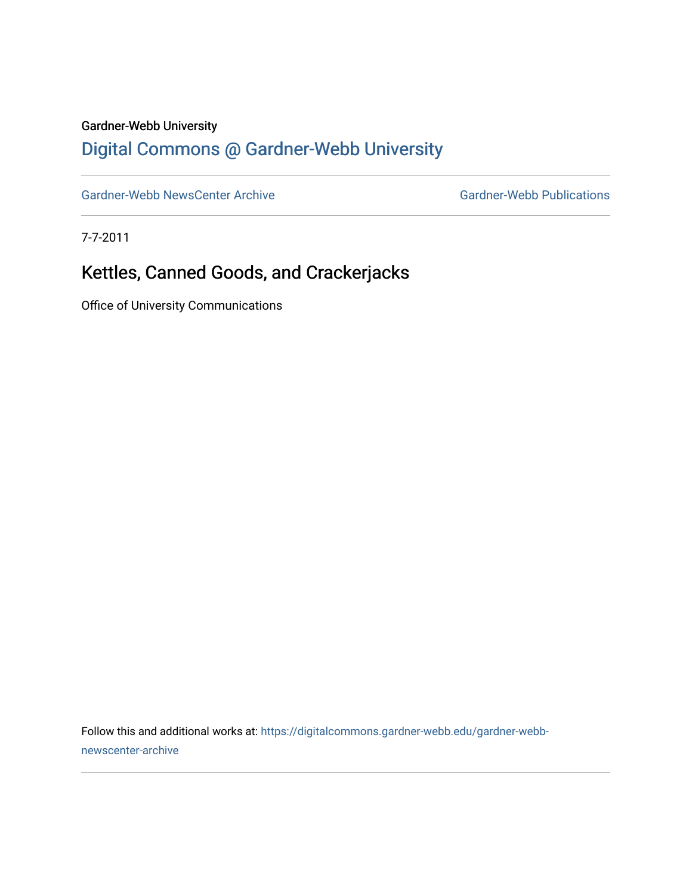## Gardner-Webb University

## [Digital Commons @ Gardner-Webb University](https://digitalcommons.gardner-webb.edu/)

[Gardner-Webb NewsCenter Archive](https://digitalcommons.gardner-webb.edu/gardner-webb-newscenter-archive) Gardner-Webb Publications

7-7-2011

## Kettles, Canned Goods, and Crackerjacks

Office of University Communications

Follow this and additional works at: [https://digitalcommons.gardner-webb.edu/gardner-webb](https://digitalcommons.gardner-webb.edu/gardner-webb-newscenter-archive?utm_source=digitalcommons.gardner-webb.edu%2Fgardner-webb-newscenter-archive%2F2049&utm_medium=PDF&utm_campaign=PDFCoverPages)[newscenter-archive](https://digitalcommons.gardner-webb.edu/gardner-webb-newscenter-archive?utm_source=digitalcommons.gardner-webb.edu%2Fgardner-webb-newscenter-archive%2F2049&utm_medium=PDF&utm_campaign=PDFCoverPages)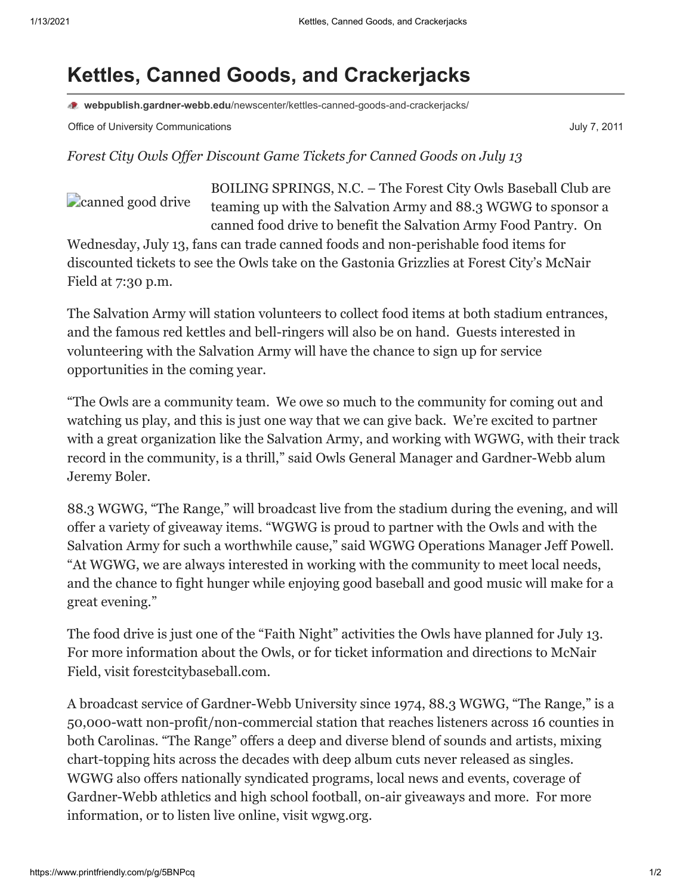## **Kettles, Canned Goods, and Crackerjacks**

**webpublish.gardner-webb.edu**[/newscenter/kettles-canned-goods-and-crackerjacks/](https://webpublish.gardner-webb.edu/newscenter/kettles-canned-goods-and-crackerjacks/)

Office of University Communications **Communications** July 7, 2011

*Forest City Owls Offer Discount Game Tickets for Canned Goods on July 13*

**Canned** good drive

BOILING SPRINGS, N.C. – The Forest City Owls Baseball Club are teaming up with the Salvation Army and 88.3 WGWG to sponsor a canned food drive to benefit the Salvation Army Food Pantry. On

Wednesday, July 13, fans can trade canned foods and non-perishable food items for discounted tickets to see the Owls take on the Gastonia Grizzlies at Forest City's McNair Field at 7:30 p.m.

The Salvation Army will station volunteers to collect food items at both stadium entrances, and the famous red kettles and bell-ringers will also be on hand. Guests interested in volunteering with the Salvation Army will have the chance to sign up for service opportunities in the coming year.

"The Owls are a community team. We owe so much to the community for coming out and watching us play, and this is just one way that we can give back. We're excited to partner with a great organization like the Salvation Army, and working with WGWG, with their track record in the community, is a thrill," said Owls General Manager and Gardner-Webb alum Jeremy Boler.

88.3 WGWG, "The Range," will broadcast live from the stadium during the evening, and will offer a variety of giveaway items. "WGWG is proud to partner with the Owls and with the Salvation Army for such a worthwhile cause," said WGWG Operations Manager Jeff Powell. "At WGWG, we are always interested in working with the community to meet local needs, and the chance to fight hunger while enjoying good baseball and good music will make for a great evening."

The food drive is just one of the "Faith Night" activities the Owls have planned for July 13. For more information about the Owls, or for ticket information and directions to McNair Field, visit [forestcitybaseball.com](http://www.forestcitybaseball.com/).

A broadcast service of Gardner-Webb University since 1974, 88.3 WGWG, "The Range," is a 50,000-watt non-profit/non-commercial station that reaches listeners across 16 counties in both Carolinas. "The Range" offers a deep and diverse blend of sounds and artists, mixing chart-topping hits across the decades with deep album cuts never released as singles. WGWG also offers nationally syndicated programs, local news and events, coverage of Gardner-Webb athletics and high school football, on-air giveaways and more. For more information, or to listen live online, visit wgwg.org.